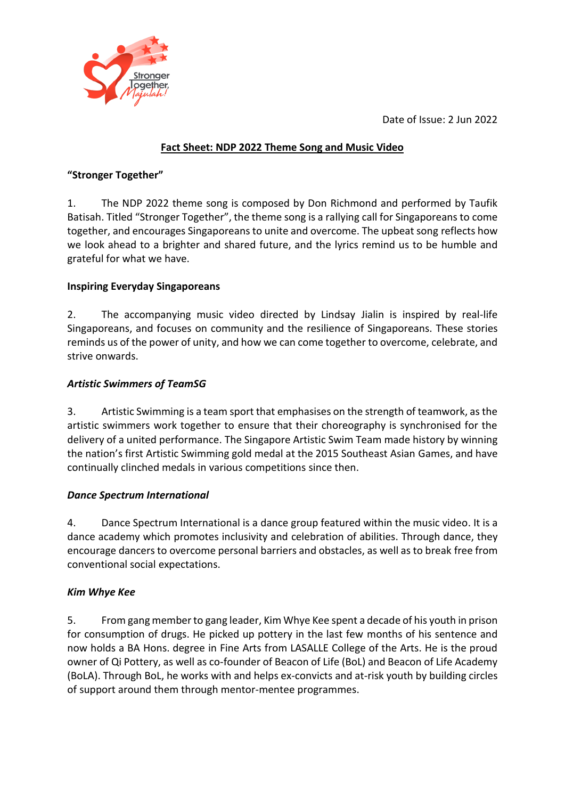Date of Issue: 2 Jun 2022



### **Fact Sheet: NDP 2022 Theme Song and Music Video**

### **"Stronger Together"**

1. The NDP 2022 theme song is composed by Don Richmond and performed by Taufik Batisah. Titled "Stronger Together", the theme song is a rallying call for Singaporeans to come together, and encourages Singaporeans to unite and overcome. The upbeat song reflects how we look ahead to a brighter and shared future, and the lyrics remind us to be humble and grateful for what we have.

### **Inspiring Everyday Singaporeans**

2. The accompanying music video directed by Lindsay Jialin is inspired by real-life Singaporeans, and focuses on community and the resilience of Singaporeans. These stories reminds us of the power of unity, and how we can come together to overcome, celebrate, and strive onwards.

### *Artistic Swimmers of TeamSG*

3. Artistic Swimming is a team sport that emphasises on the strength of teamwork, as the artistic swimmers work together to ensure that their choreography is synchronised for the delivery of a united performance. The Singapore Artistic Swim Team made history by winning the nation's first Artistic Swimming gold medal at the 2015 Southeast Asian Games, and have continually clinched medals in various competitions since then.

## *Dance Spectrum International*

4. Dance Spectrum International is a dance group featured within the music video. It is a dance academy which promotes inclusivity and celebration of abilities. Through dance, they encourage dancers to overcome personal barriers and obstacles, as well as to break free from conventional social expectations.

### *Kim Whye Kee*

5. From gang member to gang leader, Kim Whye Kee spent a decade of his youth in prison for consumption of drugs. He picked up pottery in the last few months of his sentence and now holds a BA Hons. degree in Fine Arts from LASALLE College of the Arts. He is the proud owner of Qi Pottery, as well as co-founder of Beacon of Life (BoL) and Beacon of Life Academy (BoLA). Through BoL, he works with and helps ex-convicts and at-risk youth by building circles of support around them through mentor-mentee programmes.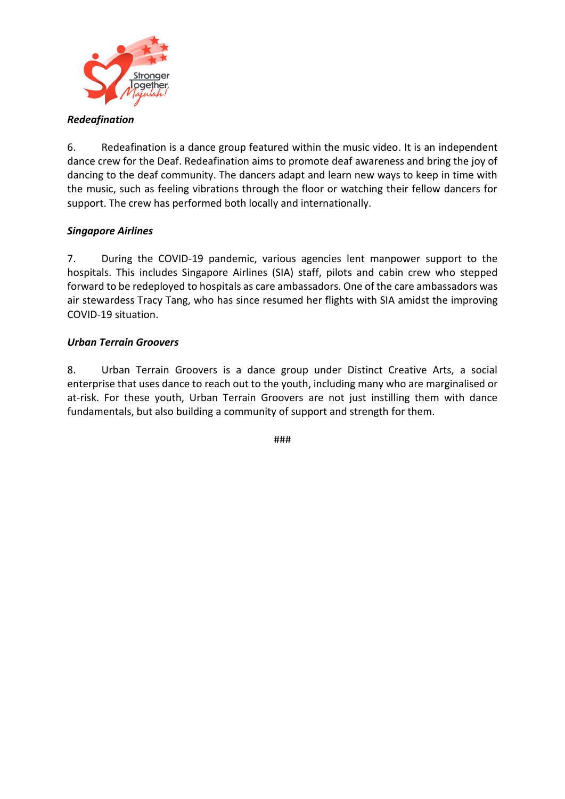

### *Redeafination*

6. Redeafination is a dance group featured within the music video. It is an independent dance crew for the Deaf. Redeafination aims to promote deaf awareness and bring the joy of dancing to the deaf community. The dancers adapt and learn new ways to keep in time with the music, such as feeling vibrations through the floor or watching their fellow dancers for support. The crew has performed both locally and internationally.

### *Singapore Airlines*

7. During the COVID-19 pandemic, various agencies lent manpower support to the hospitals. This includes Singapore Airlines (SIA) staff, pilots and cabin crew who stepped forward to be redeployed to hospitals as care ambassadors. One of the care ambassadors was air stewardess Tracy Tang, who has since resumed her flights with SIA amidst the improving COVID-19 situation.

#### *Urban Terrain Groovers*

8. Urban Terrain Groovers is a dance group under Distinct Creative Arts, a social enterprise that uses dance to reach out to the youth, including many who are marginalised or at-risk. For these youth, Urban Terrain Groovers are not just instilling them with dance fundamentals, but also building a community of support and strength for them.

###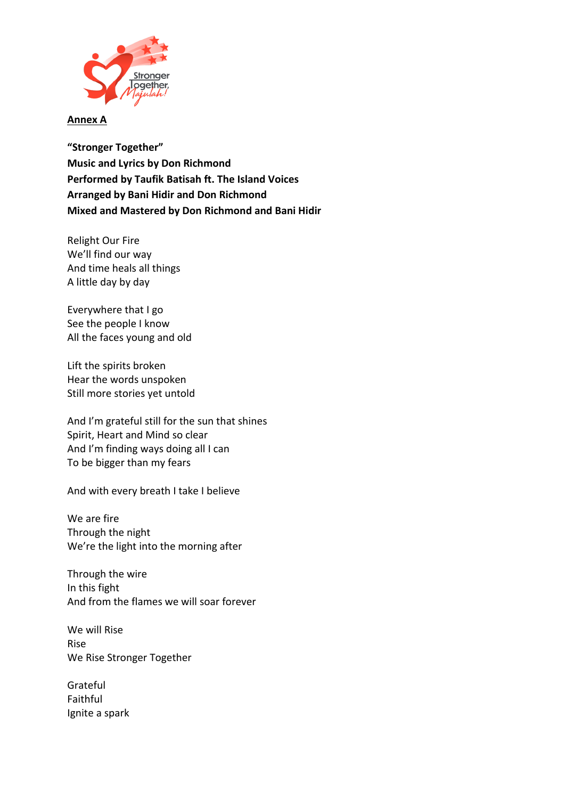

#### **Annex A**

**"Stronger Together" Music and Lyrics by Don Richmond Performed by Taufik Batisah ft. The Island Voices Arranged by Bani Hidir and Don Richmond Mixed and Mastered by Don Richmond and Bani Hidir**

Relight Our Fire We'll find our way And time heals all things A little day by day

Everywhere that I go See the people I know All the faces young and old

Lift the spirits broken Hear the words unspoken Still more stories yet untold

And I'm grateful still for the sun that shines Spirit, Heart and Mind so clear And I'm finding ways doing all I can To be bigger than my fears

And with every breath I take I believe

We are fire Through the night We're the light into the morning after

Through the wire In this fight And from the flames we will soar forever

We will Rise Rise We Rise Stronger Together

Grateful Faithful Ignite a spark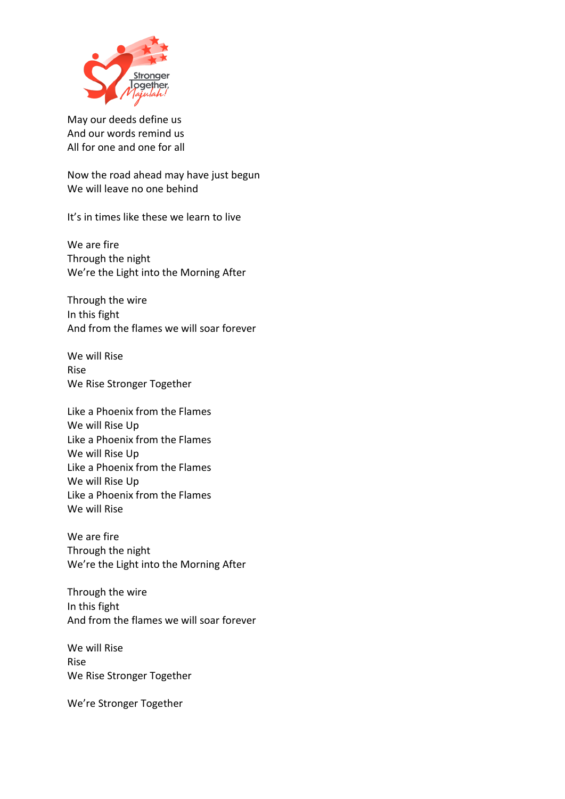

May our deeds define us And our words remind us All for one and one for all

Now the road ahead may have just begun We will leave no one behind

It's in times like these we learn to live

We are fire Through the night We're the Light into the Morning After

Through the wire In this fight And from the flames we will soar forever

We will Rise Rise We Rise Stronger Together

Like a Phoenix from the Flames We will Rise Up Like a Phoenix from the Flames We will Rise Up Like a Phoenix from the Flames We will Rise Up Like a Phoenix from the Flames We will Rise

We are fire Through the night We're the Light into the Morning After

Through the wire In this fight And from the flames we will soar forever

We will Rise Rise We Rise Stronger Together

We're Stronger Together